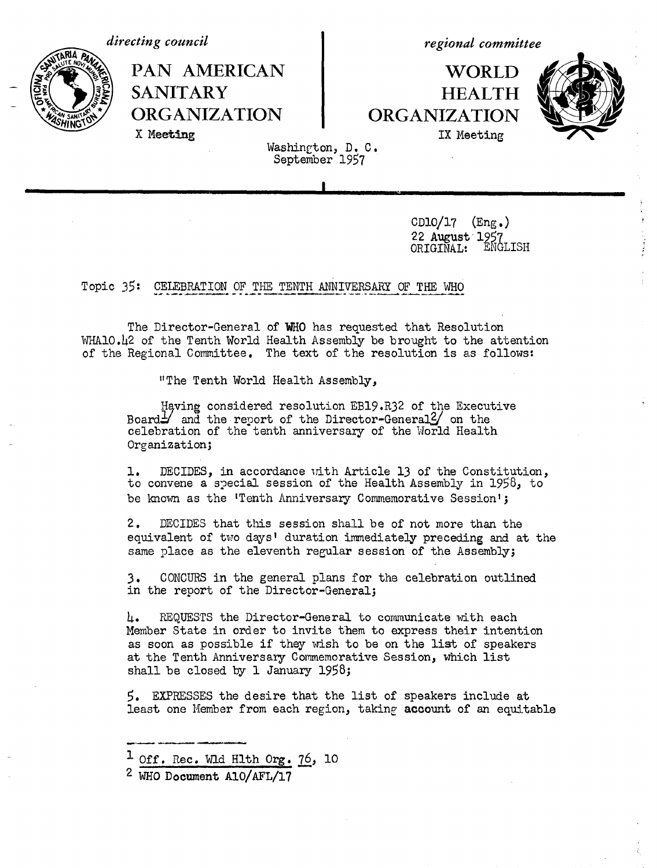

X Meeting



**PAN AMERICAN SANITARY ORGANIZATION**

*regional committee*

**WORLD HEALTH ORGANIZATION** IX Meeting



Washington, D. C. September 1957

> $CD10/17$  (Eng.) 22 August 1957<br>ORTGTNAL: ENGLISH ORIGINAL:

Topic 35: CELEBRATION OF THE TENTH ANNIVERSARY OF THE WHO

The Director-General of **WHO** has requested that Resolution WHAlO.42 of the Tenth World Health Assembly be brought to the attention of the Regional Committee. The text of the resolution is as follows:

"The Tenth World Health Assembly,

Having considered resolution EB19.R32 of the Executive Board $\frac{1}{2}$  and the report of the Director-General  $\frac{2}{3}$  on the celebration of the tenth anniversary of the World Health Organization;

1. to convene a special session of the Health Assembly in 1958, to be known as the 'Tenth Anniversary Commemorative Session'; DECIDES, in accordance rith Article 13 of the Constitution,

2. DECIDES that this session shall be of not more than the equivalent of two days' duration immediately preceding and at the same place as the eleventh regular session of the Assembly;

3. CONCURS in the general plans for the celebration outlined in the report of the Director-General;

4. REQUESTS the Director-General to communicate with each Member State in order to invite them to express their intention as soon as possible if they wish to be on the list of speakers at the Tenth Anniversary Commemorative Session, which list shall be closed by 1 January 1958;

5. EXPRESSES the desire that the list of speakers include at least one Member from each region, taking account of an equitable

 $1$  Off. Rec. Wid Hlth Org. 76, 10

<sup>2</sup> WHO **Document** A1O/AFL/17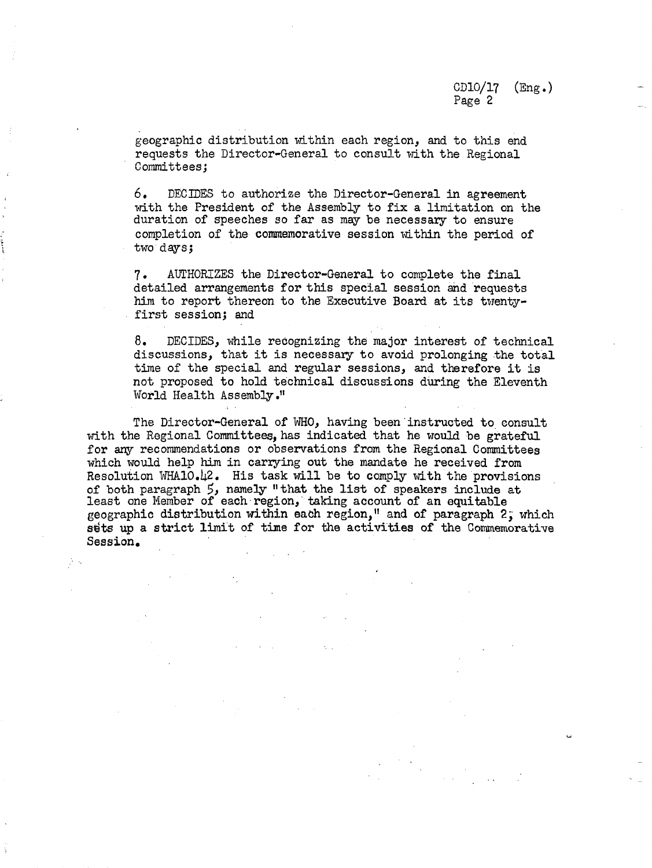geographic distribution within each region, and to this end requests the Director-General to consult with the Regional Committees;

6. DECIDES to authorize the Director-General in agreement with the President of the Assembly to fix a limitation on the duration of speeches so far as may be necessary to ensure completion of the commemorative session within the period of two days;

7. AUTHORIZES the Director-General to complete the final detailed arrangements for this special session and requests him to report thereon to the Executive Board at its twentyfirst session; and

8. DECIDES, while recognizing the major interest of technical discussions, that it is necessary to avoid prolonging the total time of the special and regular sessions, and therefore it is not proposed to hold technical discussions during the Eleventh World Health Assembly."

The Director-General of WHO, having been instructed to consult with the Regional Committees, has indicated that he would be grateful for any recommendations or observations from the Regional Committees which would help him in carrying out the mandate he received from Resolution WHAlO.42. His task will be to comply with the provisions of both paragraph 5, namely "that the list of speakers include at least one Member of each region, taking account of an equitable geographic distribution within each region," and of paragraph 2, which sets up a strict limit of time for the activities of the Commemorative Session.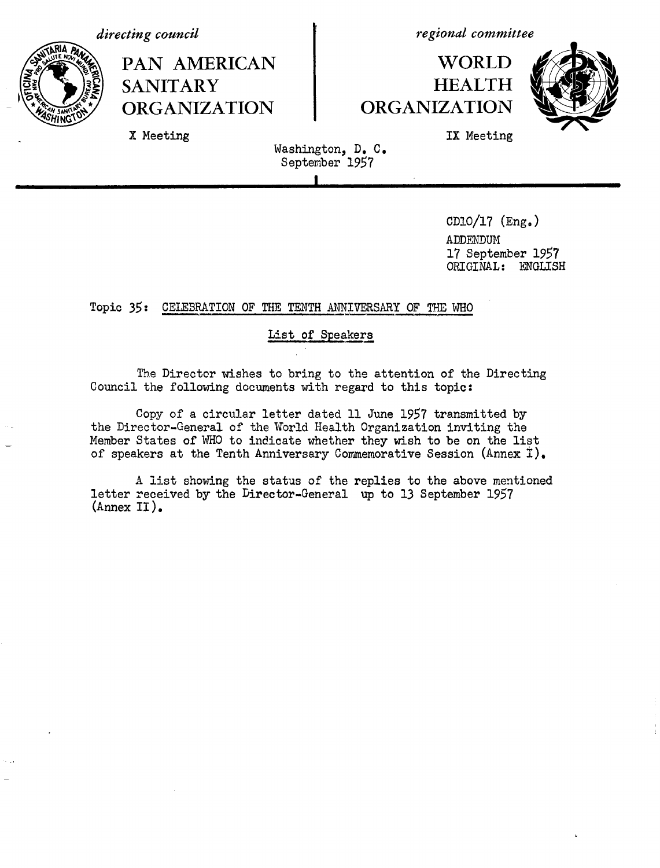*directing council*

X Meeting



*regional committee*

## **WORLD HEALTH ORGANIZATION**



IX Meeting

Washington, D. C. September 1957

**I**

CDlO/17 (Eng.) ADDENDUM 17 September 1957 ORIGINAL: ENGLISH

#### Topic 35: CELEBRATION OF THE TENTH ANNIVERSARY OF THE WHO

#### **List** of Speakers

The Director wishes to bring to the attention of the Directing Council the following documents with regard to this topic:

Copy of a circular letter dated 11 June 1957 transmitted by the Director-General of the World Health Organization inviting the Member States of WHO to indicate whether they wish to be on the list of speakers at the Tenth Anniversary Commemorative Session (Annex  $\ddot{I}$ ).

A list showing the status of the replies to the above mentioned letter received by the Director-General up to 13 September 1957 (Annex II).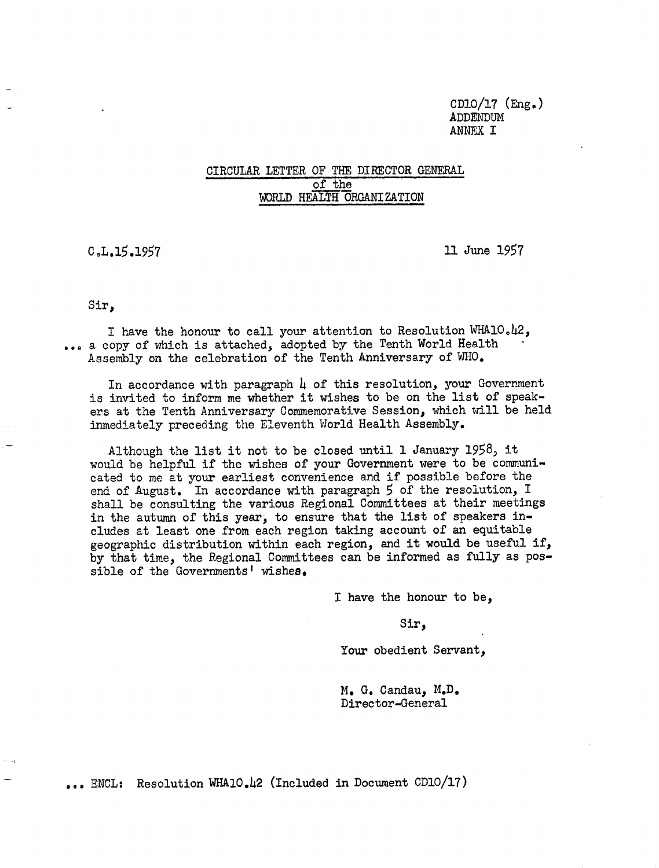CD!0/17 (Eng.) ADDENDUM ANNEX **I**

#### CIRCULAR LETTER OF THE DIRECTOR GENERAL of the WORLD HEALTH ORGANIZATION

C.L.15.1957 11 June 1957

Sir,

I have the honour to call your attention to Resolution WHAlO.42, ... a copy of which is attached, adopted by the Tenth World Health Assembly on the celebration of the Tenth Anniversary of WHO.

In accordance with paragraph  $\mu$  of this resolution, your Government is invited to inform me whether it wishes to be on the list of speakers at the Tenth Anniversary Commemorative Session, which will be held inmediately preceding the Eleventh World Health Assembly.

Although the list it not to be closed until 1 January 1958, it would be helpful if the wishes of your Government were to be communicated to me at your earliest convenience and if possible before the end of August. In accordance with paragraph 5 of the resolution, I shall be consulting the various Regional Committees at their meetings in the autumn of this year, to ensure that the list of speakers includes at least one from each region taking account of an equitable geographic distribution within each region, and it would be useful if, by that time, the Regional Committees can be informed as fully as possible of the Governments' wishes.

I have the honour to be,

Sir,

Your obedient Servant,

M. G. Candau, M.D. Director-General

.., ENCL: Resolution WHA10.42 (Included in Document CD10/17)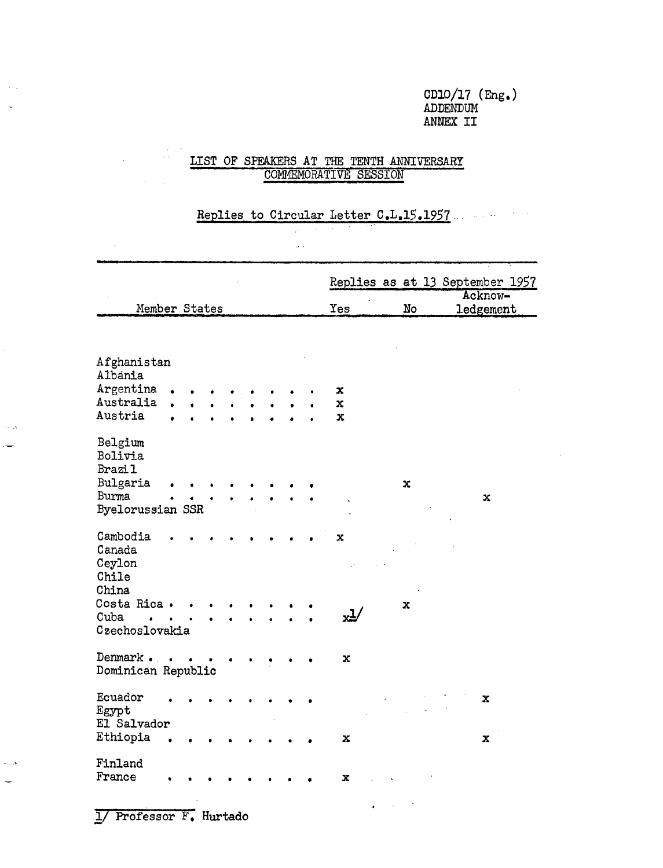#### CD10/17  $(mg_{\bullet})$ ADDENDUM ANNEX II

 $\sim$ 

### $\frac{1}{\sqrt{2}}\frac{1}{\sqrt{2}}\frac{d\theta}{d\theta}$ LIST OF SPEAKERS AT THE TENTH ANNIVERSARY COMMEMORATIVE SESSION

#### Replies to Circular Letter C.L.15.1957

 $\bar{\omega}$  .

|                                |  |  |  |  |           |    | Replies as at 13 September 1957 |
|--------------------------------|--|--|--|--|-----------|----|---------------------------------|
|                                |  |  |  |  |           |    | Acknow-                         |
| Member States                  |  |  |  |  | Yes       | No | <b>ledgement</b>                |
|                                |  |  |  |  |           |    |                                 |
| Afghanistan                    |  |  |  |  |           |    |                                 |
| Albania                        |  |  |  |  |           |    |                                 |
| Argentina                      |  |  |  |  | x         |    |                                 |
| Australia                      |  |  |  |  | x         |    |                                 |
| Austria                        |  |  |  |  | X         |    |                                 |
| Belgium<br>Bolivia             |  |  |  |  |           |    |                                 |
| Brazi 1                        |  |  |  |  |           |    |                                 |
| Bulgaria                       |  |  |  |  |           | x  |                                 |
| <b>Burma</b>                   |  |  |  |  |           |    | x                               |
| Byelorussian SSR               |  |  |  |  |           |    |                                 |
| Cambodia<br>Canada             |  |  |  |  | X         |    |                                 |
| Ceylon<br>Chile<br>China       |  |  |  |  |           |    |                                 |
| Costa Rica .                   |  |  |  |  |           | x  |                                 |
| Cuba                           |  |  |  |  | <u>,1</u> |    |                                 |
| Czechoslovakia                 |  |  |  |  |           |    |                                 |
| Denmark.<br>Dominican Republic |  |  |  |  | x         |    |                                 |
| Ecuador<br>Egypt               |  |  |  |  |           |    | $\mathbf x$                     |
| El Salvador                    |  |  |  |  |           |    |                                 |
| Ethiopia                       |  |  |  |  | x         |    | x                               |
| Finland                        |  |  |  |  |           |    |                                 |
| France                         |  |  |  |  | x         |    |                                 |

 $\frac{1}{2} \int_{\mathbb{R}^2} \left| \frac{d\mathbf{x}}{d\mathbf{x}} \right| \, d\mathbf{x}$ 

1/ Professor F. Hurtado

 $\sim$   $\sim$ 

وراب

 $\sim$  $\overline{\phantom{a}}$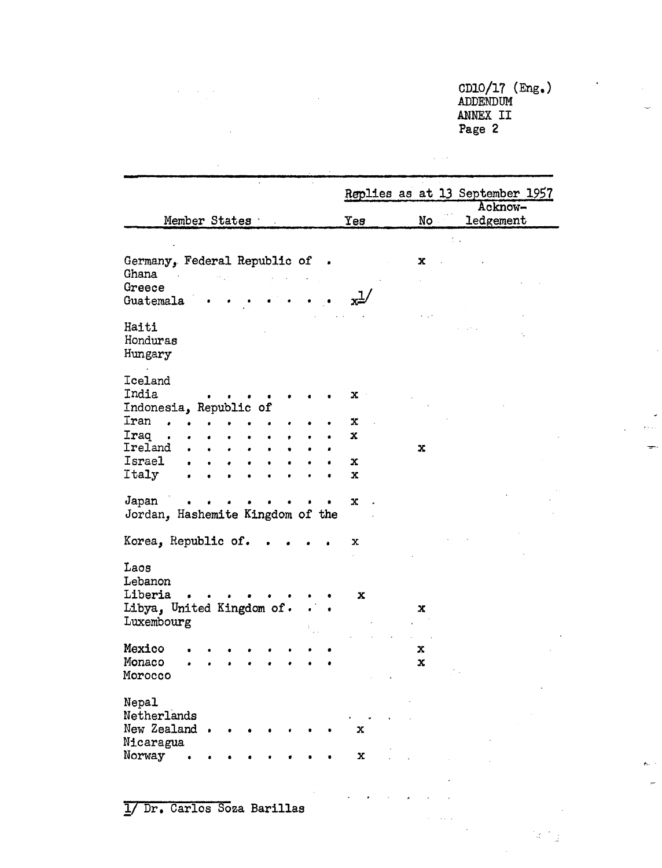CD10/17 (Eng.) ADDENDUM ANNEX II Page 2

 $\Delta \sim 10^{10}$  km  $^{-1}$ 

|                                                   |             |     | Replies as at 13 September 1957<br>Acknow- |
|---------------------------------------------------|-------------|-----|--------------------------------------------|
| Member States                                     | Yes         | No  | ledgement                                  |
|                                                   |             |     |                                            |
| Germany, Federal Republic of .<br>Ghana<br>Greece |             | x   |                                            |
| Guatemala                                         | ط∞          |     |                                            |
| Haiti<br>Honduras<br>Hungary                      |             |     |                                            |
| Iceland<br>India<br>Indonesia, Republic of        | x           |     |                                            |
| Iran                                              | х           |     |                                            |
| Iraq                                              | x           |     |                                            |
| Ireland<br>$\bullet$<br>$\bullet$<br>$\bullet$    |             | x   |                                            |
| Israel                                            | X           |     |                                            |
| Italy                                             | $\mathbf x$ |     |                                            |
| Japan<br>Jordan, Hashemite Kingdom of the         | $\mathbf x$ |     |                                            |
| Korea, Republic of.                               | x           |     |                                            |
| Laos<br>Lebanon<br>Liberia                        |             |     |                                            |
| Libya, United Kingdom of.                         | x           | x   |                                            |
| Luxembourg                                        |             |     |                                            |
| Mexico                                            |             | x   |                                            |
| Monaco                                            |             | x   |                                            |
| Morocco                                           |             | ÷., |                                            |
| Nepal<br>Netherlands<br>New Zealand               | x           |     |                                            |
| Nicaragua                                         |             |     |                                            |
| Norway                                            | $\mathbf x$ |     |                                            |

 $\mathbf{r}^{\left(1\right)}$  , and  $\mathbf{r}^{\left(2\right)}$  , and

 $\lambda$ 

 $\sqrt{2}$  .

l.

 $\label{eq:2.1} \frac{1}{\sqrt{2}}\int_{\mathbb{R}^3} \frac{1}{\sqrt{2}}\left(\frac{1}{\sqrt{2}}\right)^2 \frac{1}{\sqrt{2}}\left(\frac{1}{\sqrt{2}}\right)^2 \frac{1}{\sqrt{2}}\left(\frac{1}{\sqrt{2}}\right)^2 \frac{1}{\sqrt{2}}\left(\frac{1}{\sqrt{2}}\right)^2.$ 

 $\mathbb{Z}^2$  is  $\mathbb{Z}^2$ 

 $\mathbf{z}$ 

 $\overline{\phantom{a}}$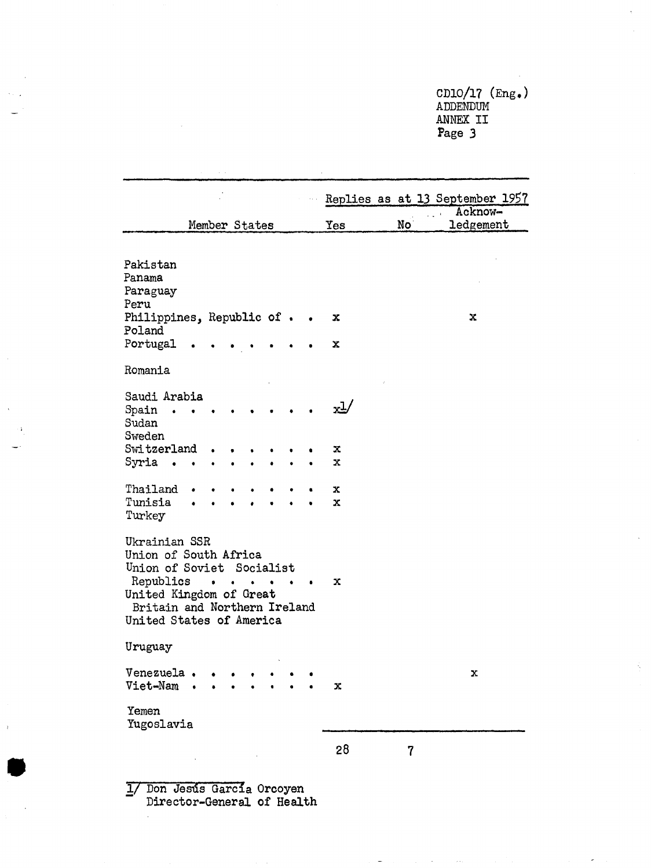CD10/17 (Eng.) ADDENDUM ANNEX II Page 3

|                                                                                                             |               |                          |           |           |           |                   |    | Replies as at 13 September 1957 |
|-------------------------------------------------------------------------------------------------------------|---------------|--------------------------|-----------|-----------|-----------|-------------------|----|---------------------------------|
|                                                                                                             | Member States |                          |           |           |           | Yes               | No | Acknow-<br>ledgement            |
|                                                                                                             |               |                          |           |           |           |                   |    |                                 |
| Pakistan<br>Panama<br>Paraguay<br>Peru<br>Philippines, Republic of.<br>Poland<br>Portugal                   |               |                          |           |           |           | x<br>x            |    | x                               |
| Romania                                                                                                     |               |                          |           |           |           |                   |    |                                 |
| Saudi Arabia<br>Spain<br>$\bullet$<br>Sudan                                                                 |               |                          |           |           |           | $x^{\frac{1}{2}}$ |    |                                 |
| Sweden<br>Switzerland                                                                                       |               |                          |           |           |           | x                 |    |                                 |
| Syria<br>$\bullet$                                                                                          |               |                          |           |           |           | $\mathbf{x}$      |    |                                 |
|                                                                                                             |               |                          |           |           |           |                   |    |                                 |
| Thailand<br>Tunisia<br>Turkey                                                                               |               |                          |           |           |           | x<br>x            |    |                                 |
| Ukrainian SSR<br>Union of South Africa<br>Union of Soviet Socialist<br>Republics<br>United Kingdom of Great | $\bullet$     | $\bullet$                | $\bullet$ | $\bullet$ | $\bullet$ | X                 |    |                                 |
| Britain and Northern Ireland<br>United States of America                                                    |               |                          |           |           |           |                   |    |                                 |
| Uruguay                                                                                                     |               |                          |           |           |           |                   |    |                                 |
| Venezuela<br>Viet-Nam                                                                                       |               |                          |           |           |           | x                 |    | х                               |
| Yemen<br>Yugoslavia                                                                                         |               |                          |           |           |           |                   |    |                                 |
|                                                                                                             |               |                          |           |           |           | 28                | 7  |                                 |
| $T_{\text{max}}$                                                                                            |               | $\overline{\phantom{a}}$ |           |           |           |                   |    |                                 |

I/ Don Jesds Garcia Orcoyen Director-General of Health